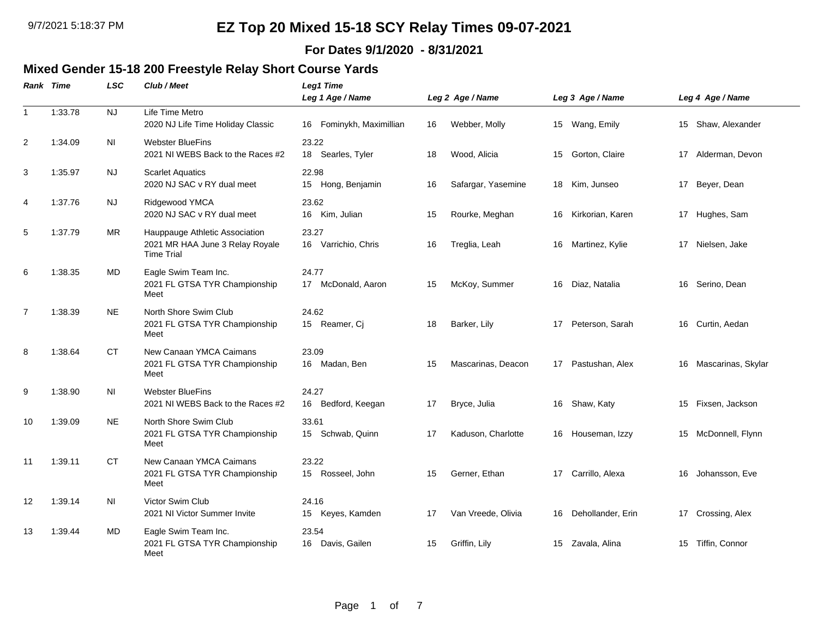#### **For Dates 9/1/2020 - 8/31/2021**

## **Mixed Gender 15-18 200 Freestyle Relay Short Course Yards**

|                | Rank Time | <b>LSC</b> | Club / Meet                                                                            | Leg1 Time<br>Leg 1 Age / Name  |    | Leg 2 Age / Name   |    | Leg 3 Age / Name  |    | Leg 4 Age / Name      |
|----------------|-----------|------------|----------------------------------------------------------------------------------------|--------------------------------|----|--------------------|----|-------------------|----|-----------------------|
| $\mathbf{1}$   | 1:33.78   | <b>NJ</b>  | Life Time Metro<br>2020 NJ Life Time Holiday Classic                                   | Fominykh, Maximillian<br>16    | 16 | Webber, Molly      |    | 15 Wang, Emily    | 15 | Shaw, Alexander       |
| 2              | 1:34.09   | <b>NI</b>  | <b>Webster BlueFins</b><br>2021 NI WEBS Back to the Races #2                           | 23.22<br>18 Searles, Tyler     | 18 | Wood, Alicia       | 15 | Gorton, Claire    |    | 17 Alderman, Devon    |
| 3              | 1:35.97   | NJ.        | <b>Scarlet Aquatics</b><br>2020 NJ SAC v RY dual meet                                  | 22.98<br>15 Hong, Benjamin     | 16 | Safargar, Yasemine |    | 18 Kim, Junseo    | 17 | Beyer, Dean           |
| 4              | 1:37.76   | <b>NJ</b>  | Ridgewood YMCA<br>2020 NJ SAC v RY dual meet                                           | 23.62<br>16 Kim, Julian        | 15 | Rourke, Meghan     | 16 | Kirkorian, Karen  | 17 | Hughes, Sam           |
| 5              | 1:37.79   | <b>MR</b>  | Hauppauge Athletic Association<br>2021 MR HAA June 3 Relay Royale<br><b>Time Trial</b> | 23.27<br>16 Varrichio, Chris   | 16 | Treglia, Leah      | 16 | Martinez, Kylie   |    | 17 Nielsen, Jake      |
| 6              | 1:38.35   | MD         | Eagle Swim Team Inc.<br>2021 FL GTSA TYR Championship<br>Meet                          | 24.77<br>17 McDonald, Aaron    | 15 | McKoy, Summer      | 16 | Diaz, Natalia     |    | 16 Serino, Dean       |
| $\overline{7}$ | 1:38.39   | <b>NE</b>  | North Shore Swim Club<br>2021 FL GTSA TYR Championship<br>Meet                         | 24.62<br>15 Reamer, Ci         | 18 | Barker, Lily       | 17 | Peterson, Sarah   | 16 | Curtin, Aedan         |
| 8              | 1:38.64   | <b>CT</b>  | New Canaan YMCA Caimans<br>2021 FL GTSA TYR Championship<br>Meet                       | 23.09<br>16 Madan, Ben         | 15 | Mascarinas, Deacon | 17 | Pastushan, Alex   |    | 16 Mascarinas, Skylar |
| 9              | 1:38.90   | ΝI         | <b>Webster BlueFins</b><br>2021 NI WEBS Back to the Races #2                           | 24.27<br>Bedford, Keegan<br>16 | 17 | Bryce, Julia       | 16 | Shaw, Katy        | 15 | Fixsen, Jackson       |
| 10             | 1:39.09   | <b>NE</b>  | North Shore Swim Club<br>2021 FL GTSA TYR Championship<br>Meet                         | 33.61<br>15 Schwab, Quinn      | 17 | Kaduson, Charlotte | 16 | Houseman, Izzy    |    | 15 McDonnell, Flynn   |
| 11             | 1:39.11   | <b>CT</b>  | New Canaan YMCA Caimans<br>2021 FL GTSA TYR Championship<br>Meet                       | 23.22<br>15 Rosseel, John      | 15 | Gerner, Ethan      | 17 | Carrillo, Alexa   |    | 16 Johansson, Eve     |
| 12             | 1:39.14   | ΝI         | Victor Swim Club<br>2021 NI Victor Summer Invite                                       | 24.16<br>15 Keyes, Kamden      | 17 | Van Vreede, Olivia | 16 | Dehollander, Erin | 17 | Crossing, Alex        |
| 13             | 1:39.44   | MD         | Eagle Swim Team Inc.<br>2021 FL GTSA TYR Championship<br>Meet                          | 23.54<br>16 Davis, Gailen      | 15 | Griffin, Lily      | 15 | Zavala, Alina     | 15 | Tiffin, Connor        |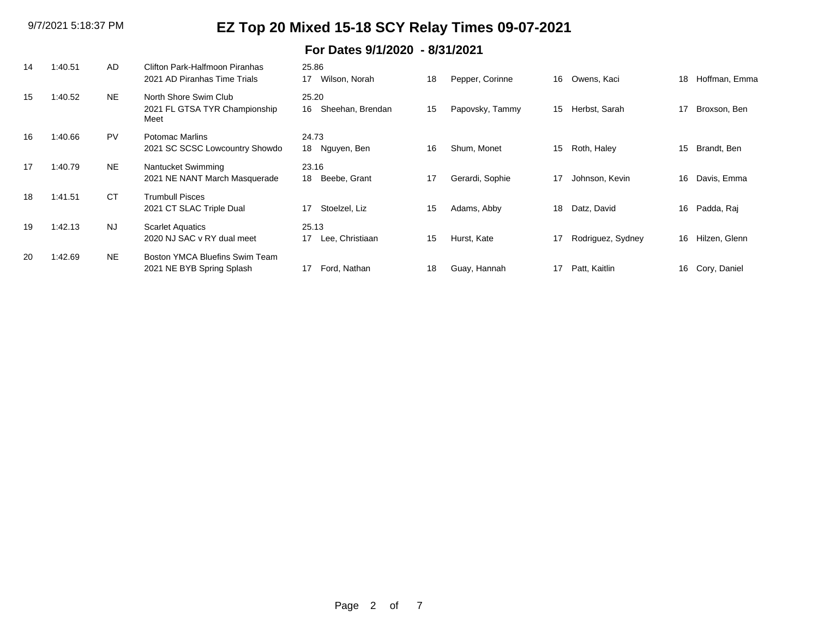### **For Dates 9/1/2020 - 8/31/2021**

| 14 | 1:40.51 | AD        | Clifton Park-Halfmoon Piranhas<br>2021 AD Piranhas Time Trials | 25.86<br>Wilson, Norah<br>17    | 18 | Pepper, Corinne | 16 | Owens, Kaci       | 18 | Hoffman, Emma |
|----|---------|-----------|----------------------------------------------------------------|---------------------------------|----|-----------------|----|-------------------|----|---------------|
| 15 | 1:40.52 | <b>NE</b> | North Shore Swim Club<br>2021 FL GTSA TYR Championship<br>Meet | 25.20<br>Sheehan, Brendan<br>16 | 15 | Papovsky, Tammy | 15 | Herbst, Sarah     | 17 | Broxson, Ben  |
| 16 | 1:40.66 | <b>PV</b> | Potomac Marlins<br>2021 SC SCSC Lowcountry Showdo              | 24.73<br>18<br>Nguyen, Ben      | 16 | Shum, Monet     | 15 | Roth, Haley       | 15 | Brandt, Ben   |
| 17 | 1:40.79 | <b>NE</b> | Nantucket Swimming<br>2021 NE NANT March Masquerade            | 23.16<br>Beebe, Grant<br>18     | 17 | Gerardi, Sophie | 17 | Johnson, Kevin    | 16 | Davis, Emma   |
| 18 | 1:41.51 | <b>CT</b> | <b>Trumbull Pisces</b><br>2021 CT SLAC Triple Dual             | Stoelzel, Liz<br>17             | 15 | Adams, Abby     | 18 | Datz, David       | 16 | Padda, Raj    |
| 19 | 1:42.13 | <b>NJ</b> | <b>Scarlet Aquatics</b><br>2020 NJ SAC v RY dual meet          | 25.13<br>Lee, Christiaan<br>17  | 15 | Hurst, Kate     | 17 | Rodriguez, Sydney | 16 | Hilzen, Glenn |
| 20 | 1:42.69 | <b>NE</b> | Boston YMCA Bluefins Swim Team<br>2021 NE BYB Spring Splash    | Ford, Nathan<br>17              | 18 | Guay, Hannah    | 17 | Patt, Kaitlin     | 16 | Cory, Daniel  |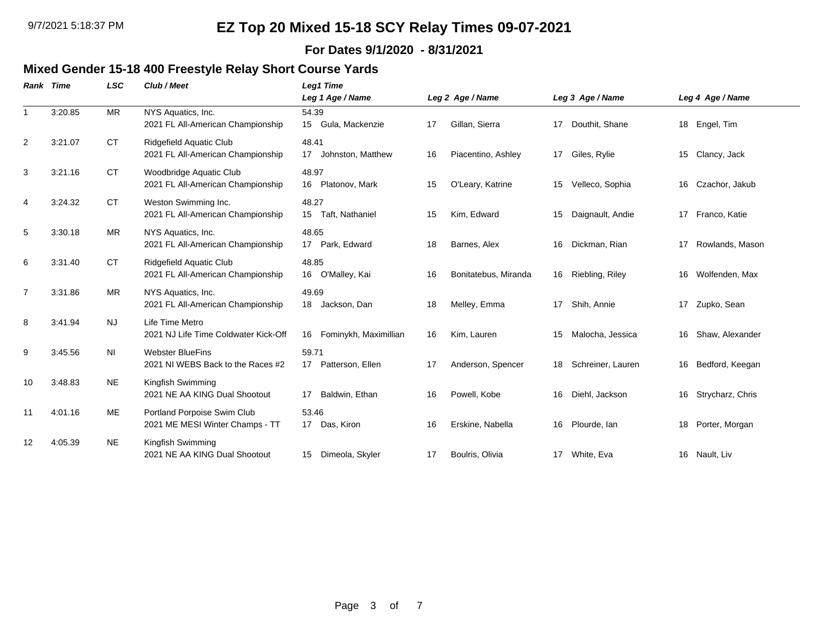#### **For Dates 9/1/2020 - 8/31/2021**

### **Mixed Gender 15-18 400 Freestyle Relay Short Course Yards**

|              | <b>Rank Time</b> | <b>LSC</b> | Club / Meet                                                    | Leg1 Time<br>Leg 1 Age / Name                |    | Leg 2 Age / Name     |    | Leg 3 Age / Name  |    | Leg 4 Age / Name |
|--------------|------------------|------------|----------------------------------------------------------------|----------------------------------------------|----|----------------------|----|-------------------|----|------------------|
| $\mathbf{1}$ | 3:20.85          | <b>MR</b>  | NYS Aquatics, Inc.<br>2021 FL All-American Championship        | 54.39<br>Gula, Mackenzie<br>15               | 17 | Gillan, Sierra       | 17 | Douthit, Shane    | 18 | Engel, Tim       |
| 2            | 3:21.07          | <b>CT</b>  | Ridgefield Aquatic Club<br>2021 FL All-American Championship   | 48.41<br>17<br>Johnston, Matthew             | 16 | Piacentino, Ashley   | 17 | Giles, Rylie      |    | 15 Clancy, Jack  |
| 3            | 3:21.16          | <b>CT</b>  | Woodbridge Aquatic Club<br>2021 FL All-American Championship   | 48.97<br>Platonov, Mark<br>16                | 15 | O'Leary, Katrine     | 15 | Velleco, Sophia   | 16 | Czachor, Jakub   |
| 4            | 3:24.32          | <b>CT</b>  | Weston Swimming Inc.<br>2021 FL All-American Championship      | 48.27<br>15 <sub>1</sub><br>Taft, Nathaniel  | 15 | Kim, Edward          | 15 | Daignault, Andie  | 17 | Franco, Katie    |
| 5            | 3:30.18          | MR         | NYS Aquatics, Inc.<br>2021 FL All-American Championship        | 48.65<br>17 Park, Edward                     | 18 | Barnes, Alex         | 16 | Dickman, Rian     | 17 | Rowlands, Mason  |
| 6            | 3:31.40          | <b>CT</b>  | Ridgefield Aquatic Club<br>2021 FL All-American Championship   | 48.85<br>O'Malley, Kai<br>16                 | 16 | Bonitatebus, Miranda | 16 | Riebling, Riley   | 16 | Wolfenden, Max   |
| 7            | 3:31.86          | MR         | NYS Aquatics, Inc.<br>2021 FL All-American Championship        | 49.69<br>18<br>Jackson, Dan                  | 18 | Melley, Emma         | 17 | Shih, Annie       | 17 | Zupko, Sean      |
| 8            | 3:41.94          | <b>NJ</b>  | Life Time Metro<br>2021 NJ Life Time Coldwater Kick-Off        | Fominykh, Maximillian<br>16                  | 16 | Kim, Lauren          | 15 | Malocha, Jessica  | 16 | Shaw, Alexander  |
| 9            | 3:45.56          | ΝI         | <b>Webster BlueFins</b><br>2021 NI WEBS Back to the Races #2   | 59.71<br>Patterson, Ellen<br>17 <sup>2</sup> | 17 | Anderson, Spencer    | 18 | Schreiner, Lauren | 16 | Bedford, Keegan  |
| 10           | 3:48.83          | <b>NE</b>  | Kingfish Swimming<br>2021 NE AA KING Dual Shootout             | Baldwin, Ethan<br>17                         | 16 | Powell, Kobe         | 16 | Diehl, Jackson    | 16 | Strycharz, Chris |
| 11           | 4:01.16          | ME         | Portland Porpoise Swim Club<br>2021 ME MESI Winter Champs - TT | 53.46<br>17 Das, Kiron                       | 16 | Erskine, Nabella     | 16 | Plourde, Ian      | 18 | Porter, Morgan   |
| 12           | 4:05.39          | <b>NE</b>  | Kingfish Swimming<br>2021 NE AA KING Dual Shootout             | Dimeola, Skyler<br>15                        | 17 | Boulris, Olivia      | 17 | White, Eva        |    | 16 Nault, Liv    |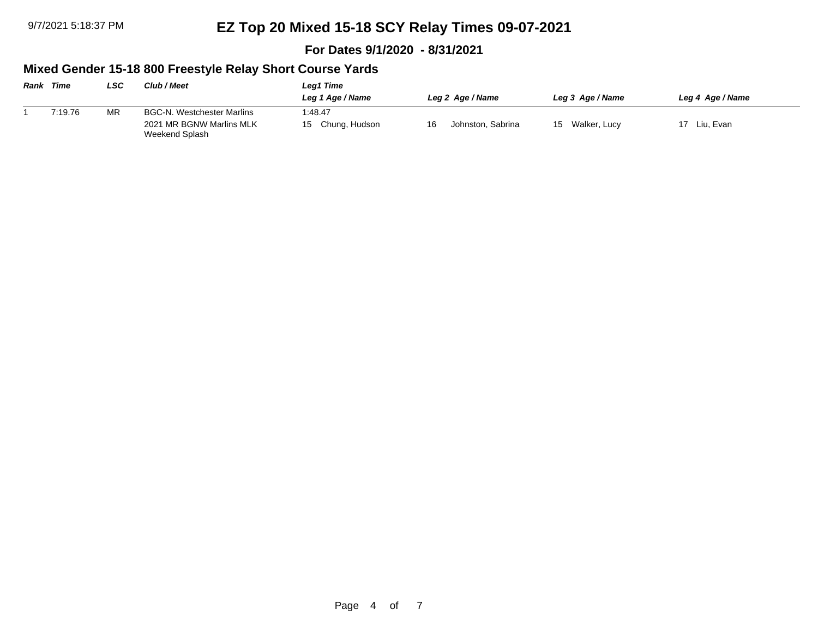**For Dates 9/1/2020 - 8/31/2021**

#### **Mixed Gender 15-18 800 Freestyle Relay Short Course Yards**

| <b>Rank Time</b> |         | LSC       | <b>Club / Meet</b>                         | Leg1 Time           |                         |                    |                  |  |  |
|------------------|---------|-----------|--------------------------------------------|---------------------|-------------------------|--------------------|------------------|--|--|
|                  |         |           |                                            | Leg 1 Age / Name    | Leg 2 Age / Name        | Leg 3 Age / Name   | Leg 4 Age / Name |  |  |
|                  | 7:19.76 | <b>MR</b> | BGC-N. Westchester Marlins                 | 1:48.47             |                         |                    |                  |  |  |
|                  |         |           | 2021 MR BGNW Marlins MLK<br>Weekend Splash | Chung, Hudson<br>15 | Johnston, Sabrina<br>16 | Walker, Lucy<br>15 | 17 Liu. Evan     |  |  |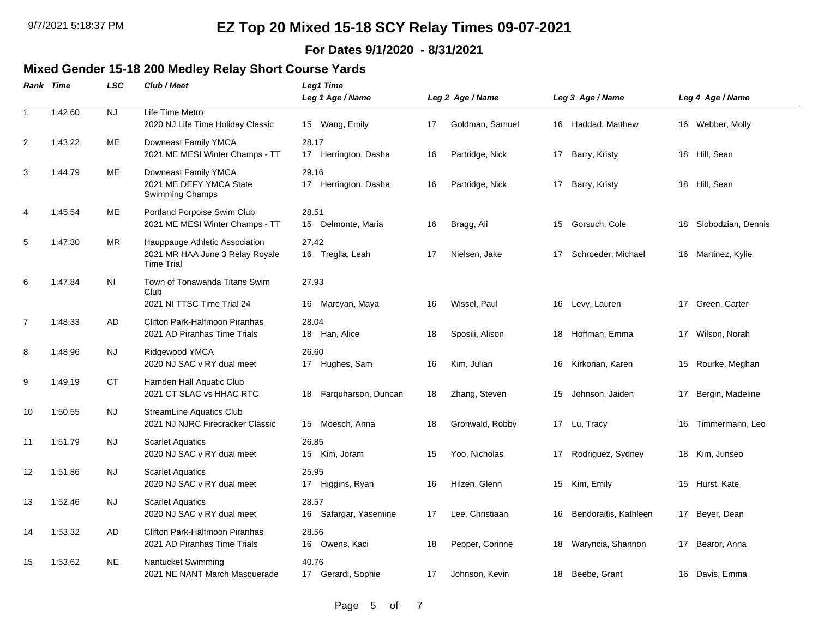#### **For Dates 9/1/2020 - 8/31/2021**

# **Mixed Gender 15-18 200 Medley Relay Short Course Yards**

|                | <b>Rank Time</b> | <b>LSC</b> | Club / Meet                                                                            | <b>Leg1 Time</b><br>Leg 1 Age / Name |    | Leg 2 Age / Name |    | Leg 3 Age / Name      |    | Leg 4 Age / Name   |
|----------------|------------------|------------|----------------------------------------------------------------------------------------|--------------------------------------|----|------------------|----|-----------------------|----|--------------------|
| $\overline{1}$ | 1:42.60          | <b>NJ</b>  | Life Time Metro<br>2020 NJ Life Time Holiday Classic                                   | 15 Wang, Emily                       | 17 | Goldman, Samuel  |    | 16 Haddad, Matthew    |    | 16 Webber, Molly   |
| $\overline{2}$ | 1:43.22          | ME         | Downeast Family YMCA<br>2021 ME MESI Winter Champs - TT                                | 28.17<br>17<br>Herrington, Dasha     | 16 | Partridge, Nick  | 17 | Barry, Kristy         | 18 | Hill, Sean         |
| 3              | 1:44.79          | ME         | Downeast Family YMCA<br>2021 ME DEFY YMCA State<br>Swimming Champs                     | 29.16<br>17 Herrington, Dasha        | 16 | Partridge, Nick  | 17 | Barry, Kristy         |    | 18 Hill, Sean      |
| 4              | 1:45.54          | ME         | Portland Porpoise Swim Club<br>2021 ME MESI Winter Champs - TT                         | 28.51<br>15 Delmonte, Maria          | 16 | Bragg, Ali       | 15 | Gorsuch, Cole         | 18 | Slobodzian, Dennis |
| 5              | 1:47.30          | MR         | Hauppauge Athletic Association<br>2021 MR HAA June 3 Relay Royale<br><b>Time Trial</b> | 27.42<br>16 Treglia, Leah            | 17 | Nielsen, Jake    | 17 | Schroeder, Michael    |    | 16 Martinez, Kylie |
| 6              | 1:47.84          | <b>NI</b>  | Town of Tonawanda Titans Swim<br>Club<br>2021 NI TTSC Time Trial 24                    | 27.93<br>16 Marcyan, Maya            | 16 | Wissel, Paul     |    | 16 Levy, Lauren       |    | 17 Green, Carter   |
| $\overline{7}$ | 1:48.33          | AD         | Clifton Park-Halfmoon Piranhas<br>2021 AD Piranhas Time Trials                         | 28.04<br>18 Han, Alice               | 18 | Sposili, Alison  | 18 | Hoffman, Emma         |    | 17 Wilson, Norah   |
| 8              | 1:48.96          | <b>NJ</b>  | Ridgewood YMCA<br>2020 NJ SAC v RY dual meet                                           | 26.60<br>17 Hughes, Sam              | 16 | Kim, Julian      | 16 | Kirkorian, Karen      | 15 | Rourke, Meghan     |
| 9              | 1:49.19          | CT         | Hamden Hall Aquatic Club<br>2021 CT SLAC vs HHAC RTC                                   | Farquharson, Duncan<br>18            | 18 | Zhang, Steven    | 15 | Johnson, Jaiden       | 17 | Bergin, Madeline   |
| 10             | 1:50.55          | <b>NJ</b>  | <b>StreamLine Aquatics Club</b><br>2021 NJ NJRC Firecracker Classic                    | 15 Moesch, Anna                      | 18 | Gronwald, Robby  |    | 17 Lu, Tracy          | 16 | Timmermann, Leo    |
| 11             | 1:51.79          | <b>NJ</b>  | <b>Scarlet Aquatics</b><br>2020 NJ SAC v RY dual meet                                  | 26.85<br>15 Kim, Joram               | 15 | Yoo, Nicholas    | 17 | Rodriguez, Sydney     |    | 18 Kim, Junseo     |
| 12             | 1:51.86          | NJ.        | <b>Scarlet Aquatics</b><br>2020 NJ SAC v RY dual meet                                  | 25.95<br>17 Higgins, Ryan            | 16 | Hilzen, Glenn    | 15 | Kim, Emily            | 15 | Hurst, Kate        |
| 13             | 1:52.46          | <b>NJ</b>  | <b>Scarlet Aquatics</b><br>2020 NJ SAC v RY dual meet                                  | 28.57<br>16 Safargar, Yasemine       | 17 | Lee, Christiaan  | 16 | Bendoraitis, Kathleen |    | 17 Beyer, Dean     |
| 14             | 1:53.32          | AD         | <b>Clifton Park-Halfmoon Piranhas</b><br>2021 AD Piranhas Time Trials                  | 28.56<br>16 Owens, Kaci              | 18 | Pepper, Corinne  | 18 | Waryncia, Shannon     | 17 | Bearor, Anna       |
| 15             | 1:53.62          | <b>NE</b>  | Nantucket Swimming<br>2021 NE NANT March Masquerade                                    | 40.76<br>17 Gerardi, Sophie          | 17 | Johnson, Kevin   |    | 18 Beebe, Grant       |    | 16 Davis, Emma     |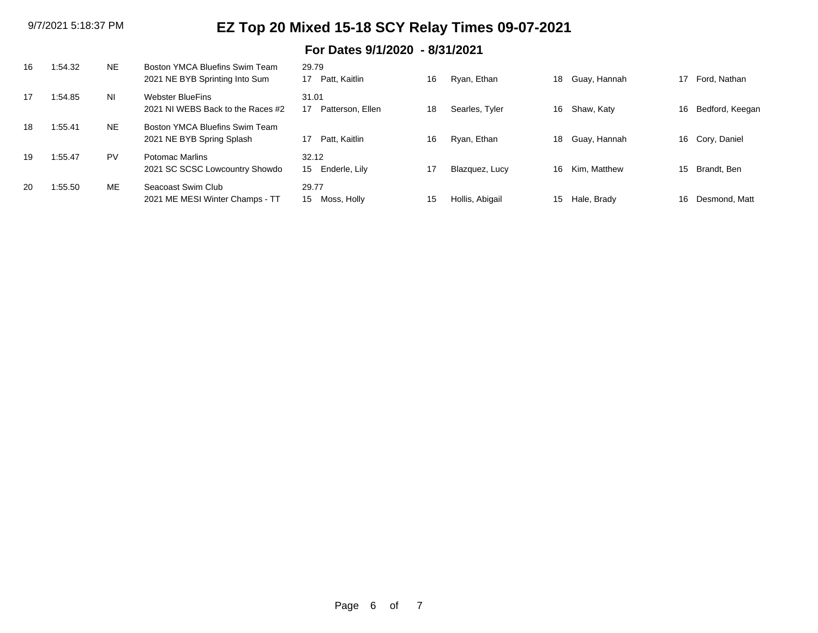### **For Dates 9/1/2020 - 8/31/2021**

| 16 | :54.32 | <b>NE</b> | Boston YMCA Bluefins Swim Team<br>2021 NE BYB Sprinting Into Sum | 29.79<br>Patt. Kaitlin<br>17              | 16 | Ryan, Ethan     |    | 18 Guay, Hannah | 17 | Ford. Nathan    |
|----|--------|-----------|------------------------------------------------------------------|-------------------------------------------|----|-----------------|----|-----------------|----|-----------------|
| 17 | :54.85 | <b>NI</b> | <b>Webster BlueFins</b><br>2021 NJ WEBS Back to the Races #2     | 31.01<br>Patterson, Ellen                 | 18 | Searles, Tyler  | 16 | Shaw, Katy      | 16 | Bedford, Keegan |
| 18 | :55.41 | NE.       | Boston YMCA Bluefins Swim Team<br>2021 NE BYB Spring Splash      | Patt. Kaitlin<br>17                       | 16 | Ryan, Ethan     | 18 | Guay, Hannah    |    | 16 Cory, Daniel |
| 19 | :55.47 | <b>PV</b> | Potomac Marlins<br>2021 SC SCSC Lowcountry Showdo                | 32.12<br>Enderle, Lily<br>15 <sup>1</sup> | 17 | Blazquez, Lucy  | 16 | Kim. Matthew    | 15 | Brandt, Ben     |
| 20 | :55.50 | ME        | Seacoast Swim Club<br>2021 ME MESI Winter Champs - TT            | 29.77<br>Moss, Holly<br>15                | 15 | Hollis, Abigail | 15 | Hale, Brady     | 16 | Desmond, Matt   |